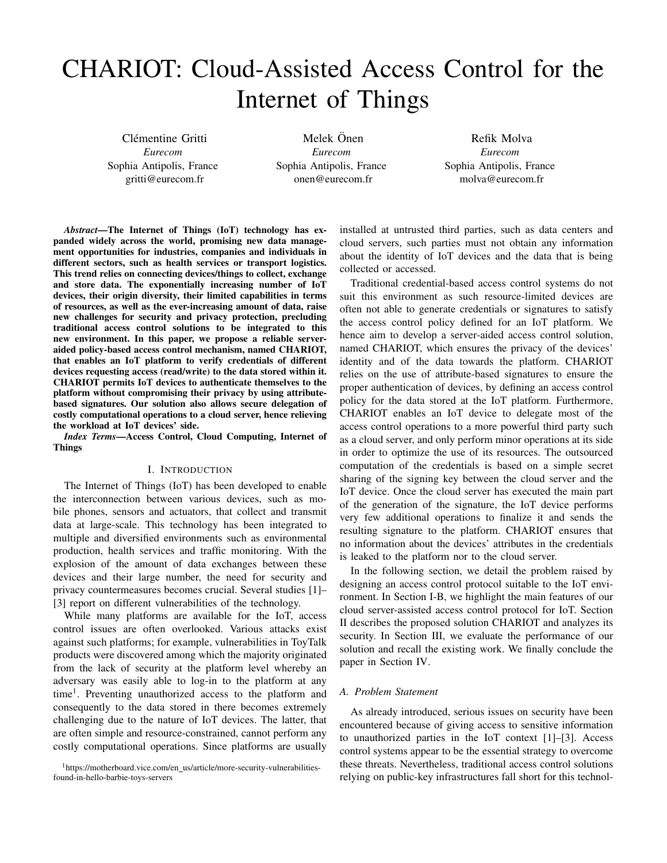# CHARIOT: Cloud-Assisted Access Control for the Internet of Things

Clémentine Gritti *Eurecom* Sophia Antipolis, France gritti@eurecom.fr

Melek Önen *Eurecom* Sophia Antipolis, France onen@eurecom.fr

Refik Molva *Eurecom* Sophia Antipolis, France molva@eurecom.fr

*Abstract*—The Internet of Things (IoT) technology has expanded widely across the world, promising new data management opportunities for industries, companies and individuals in different sectors, such as health services or transport logistics. This trend relies on connecting devices/things to collect, exchange and store data. The exponentially increasing number of IoT devices, their origin diversity, their limited capabilities in terms of resources, as well as the ever-increasing amount of data, raise new challenges for security and privacy protection, precluding traditional access control solutions to be integrated to this new environment. In this paper, we propose a reliable serveraided policy-based access control mechanism, named CHARIOT, that enables an IoT platform to verify credentials of different devices requesting access (read/write) to the data stored within it. CHARIOT permits IoT devices to authenticate themselves to the platform without compromising their privacy by using attributebased signatures. Our solution also allows secure delegation of costly computational operations to a cloud server, hence relieving the workload at IoT devices' side.

*Index Terms*—Access Control, Cloud Computing, Internet of Things

## I. INTRODUCTION

The Internet of Things (IoT) has been developed to enable the interconnection between various devices, such as mobile phones, sensors and actuators, that collect and transmit data at large-scale. This technology has been integrated to multiple and diversified environments such as environmental production, health services and traffic monitoring. With the explosion of the amount of data exchanges between these devices and their large number, the need for security and privacy countermeasures becomes crucial. Several studies [1]– [3] report on different vulnerabilities of the technology.

While many platforms are available for the IoT, access control issues are often overlooked. Various attacks exist against such platforms; for example, vulnerabilities in ToyTalk products were discovered among which the majority originated from the lack of security at the platform level whereby an adversary was easily able to log-in to the platform at any time<sup>1</sup>. Preventing unauthorized access to the platform and consequently to the data stored in there becomes extremely challenging due to the nature of IoT devices. The latter, that are often simple and resource-constrained, cannot perform any costly computational operations. Since platforms are usually

<sup>1</sup>https://motherboard.vice.com/en\_us/article/more-security-vulnerabilitiesfound-in-hello-barbie-toys-servers

installed at untrusted third parties, such as data centers and cloud servers, such parties must not obtain any information about the identity of IoT devices and the data that is being collected or accessed.

Traditional credential-based access control systems do not suit this environment as such resource-limited devices are often not able to generate credentials or signatures to satisfy the access control policy defined for an IoT platform. We hence aim to develop a server-aided access control solution, named CHARIOT, which ensures the privacy of the devices' identity and of the data towards the platform. CHARIOT relies on the use of attribute-based signatures to ensure the proper authentication of devices, by defining an access control policy for the data stored at the IoT platform. Furthermore, CHARIOT enables an IoT device to delegate most of the access control operations to a more powerful third party such as a cloud server, and only perform minor operations at its side in order to optimize the use of its resources. The outsourced computation of the credentials is based on a simple secret sharing of the signing key between the cloud server and the IoT device. Once the cloud server has executed the main part of the generation of the signature, the IoT device performs very few additional operations to finalize it and sends the resulting signature to the platform. CHARIOT ensures that no information about the devices' attributes in the credentials is leaked to the platform nor to the cloud server.

In the following section, we detail the problem raised by designing an access control protocol suitable to the IoT environment. In Section I-B, we highlight the main features of our cloud server-assisted access control protocol for IoT. Section II describes the proposed solution CHARIOT and analyzes its security. In Section III, we evaluate the performance of our solution and recall the existing work. We finally conclude the paper in Section IV.

#### *A. Problem Statement*

As already introduced, serious issues on security have been encountered because of giving access to sensitive information to unauthorized parties in the IoT context [1]–[3]. Access control systems appear to be the essential strategy to overcome these threats. Nevertheless, traditional access control solutions relying on public-key infrastructures fall short for this technol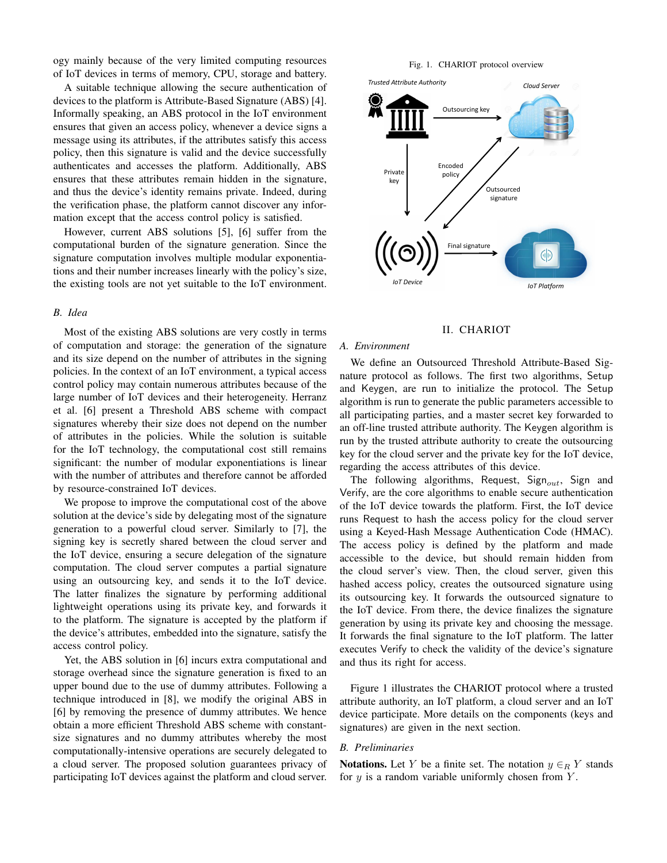ogy mainly because of the very limited computing resources of IoT devices in terms of memory, CPU, storage and battery.

A suitable technique allowing the secure authentication of devices to the platform is Attribute-Based Signature (ABS) [4]. Informally speaking, an ABS protocol in the IoT environment ensures that given an access policy, whenever a device signs a message using its attributes, if the attributes satisfy this access policy, then this signature is valid and the device successfully authenticates and accesses the platform. Additionally, ABS ensures that these attributes remain hidden in the signature, and thus the device's identity remains private. Indeed, during the verification phase, the platform cannot discover any information except that the access control policy is satisfied.

However, current ABS solutions [5], [6] suffer from the computational burden of the signature generation. Since the signature computation involves multiple modular exponentiations and their number increases linearly with the policy's size, the existing tools are not yet suitable to the IoT environment.

## *B. Idea*

Most of the existing ABS solutions are very costly in terms of computation and storage: the generation of the signature and its size depend on the number of attributes in the signing policies. In the context of an IoT environment, a typical access control policy may contain numerous attributes because of the large number of IoT devices and their heterogeneity. Herranz et al. [6] present a Threshold ABS scheme with compact signatures whereby their size does not depend on the number of attributes in the policies. While the solution is suitable for the IoT technology, the computational cost still remains significant: the number of modular exponentiations is linear with the number of attributes and therefore cannot be afforded by resource-constrained IoT devices.

We propose to improve the computational cost of the above solution at the device's side by delegating most of the signature generation to a powerful cloud server. Similarly to [7], the signing key is secretly shared between the cloud server and the IoT device, ensuring a secure delegation of the signature computation. The cloud server computes a partial signature using an outsourcing key, and sends it to the IoT device. The latter finalizes the signature by performing additional lightweight operations using its private key, and forwards it to the platform. The signature is accepted by the platform if the device's attributes, embedded into the signature, satisfy the access control policy.

Yet, the ABS solution in [6] incurs extra computational and storage overhead since the signature generation is fixed to an upper bound due to the use of dummy attributes. Following a technique introduced in [8], we modify the original ABS in [6] by removing the presence of dummy attributes. We hence obtain a more efficient Threshold ABS scheme with constantsize signatures and no dummy attributes whereby the most computationally-intensive operations are securely delegated to a cloud server. The proposed solution guarantees privacy of participating IoT devices against the platform and cloud server.

Fig. 1. CHARIOT protocol overview



### II. CHARIOT

#### *A. Environment*

We define an Outsourced Threshold Attribute-Based Signature protocol as follows. The first two algorithms, Setup and Keygen, are run to initialize the protocol. The Setup algorithm is run to generate the public parameters accessible to all participating parties, and a master secret key forwarded to an off-line trusted attribute authority. The Keygen algorithm is run by the trusted attribute authority to create the outsourcing key for the cloud server and the private key for the IoT device, regarding the access attributes of this device.

The following algorithms, Request, Sign<sub>out</sub>, Sign and Verify, are the core algorithms to enable secure authentication of the IoT device towards the platform. First, the IoT device runs Request to hash the access policy for the cloud server using a Keyed-Hash Message Authentication Code (HMAC). The access policy is defined by the platform and made accessible to the device, but should remain hidden from the cloud server's view. Then, the cloud server, given this hashed access policy, creates the outsourced signature using its outsourcing key. It forwards the outsourced signature to the IoT device. From there, the device finalizes the signature generation by using its private key and choosing the message. It forwards the final signature to the IoT platform. The latter executes Verify to check the validity of the device's signature and thus its right for access.

Figure 1 illustrates the CHARIOT protocol where a trusted attribute authority, an IoT platform, a cloud server and an IoT device participate. More details on the components (keys and signatures) are given in the next section.

## *B. Preliminaries*

**Notations.** Let Y be a finite set. The notation  $y \in_R Y$  stands for  $y$  is a random variable uniformly chosen from  $Y$ .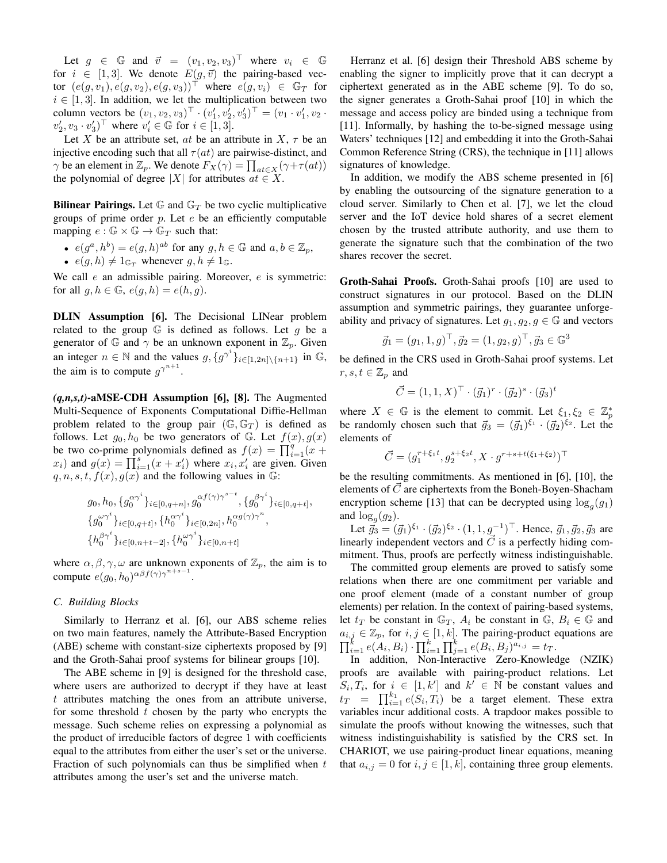Let  $g \in \mathbb{G}$  and  $\vec{v} = (v_1, v_2, v_3)^\top$  where  $v_i \in \mathbb{G}$ for  $i \in [1, 3]$ . We denote  $E(g, \vec{v})$  the pairing-based vector  $(e(g, v_1), e(g, v_2), e(g, v_3))^\top$  where  $e(g, v_i) \in \mathbb{G}_T$  for  $i \in [1, 3]$ . In addition, we let the multiplication between two column vectors be  $(v_1, v_2, v_3)^\top \cdot (v_1', v_2', v_3')^\top = (v_1 \cdot v_1', v_2 \cdot v_3')^\top$  $v_2', v_3 \cdot v_3'$ )<sup>T</sup> where  $v_i' \in \mathbb{G}$  for  $i \in [1, 3]$ .

Let X be an attribute set, at be an attribute in X,  $\tau$  be an injective encoding such that all  $\tau(at)$  are pairwise-distinct, and  $\gamma$  be an element in  $\mathbb{Z}_p$ . We denote  $F_X(\gamma) = \prod_{at \in X} (\gamma + \tau(at))$ the polynomial of degree |X| for attributes  $at \in X$ .

**Bilinear Pairings.** Let  $\mathbb{G}$  and  $\mathbb{G}_T$  be two cyclic multiplicative groups of prime order  $p$ . Let  $e$  be an efficiently computable mapping  $e : \mathbb{G} \times \mathbb{G} \to \mathbb{G}_T$  such that:

• 
$$
e(g^a, h^b) = e(g, h)^{ab}
$$
 for any  $g, h \in \mathbb{G}$  and  $a, b \in \mathbb{Z}_p$ ,

•  $e(g, h) \neq 1_{\mathbb{G}_T}$  whenever  $g, h \neq 1_{\mathbb{G}}$ .

We call  $e$  an admissible pairing. Moreover,  $e$  is symmetric: for all  $q, h \in \mathbb{G}$ ,  $e(q, h) = e(h, q)$ .

DLIN Assumption [6]. The Decisional LINear problem related to the group  $G$  is defined as follows. Let g be a generator of G and  $\gamma$  be an unknown exponent in  $\mathbb{Z}_p$ . Given an integer  $n \in \mathbb{N}$  and the values  $g, \{g^{\gamma^i}\}_{i \in [1, 2n] \setminus \{n+1\}}$  in  $\mathbb{G}$ , the aim is to compute  $g^{\gamma^{n+1}}$ .

*(q,n,s,t)*-aMSE-CDH Assumption [6], [8]. The Augmented Multi-Sequence of Exponents Computational Diffie-Hellman problem related to the group pair  $(\mathbb{G}, \mathbb{G}_T)$  is defined as follows. Let  $g_0, h_0$  be two generators of G. Let  $f(x), g(x)$ be two co-prime polynomials defined as  $f(x) = \prod_{i=1}^{q} (x +$  $x_i$ ) and  $g(x) = \prod_{i=1}^{s} (x + x'_i)$  where  $x_i, x'_i$  are given. Given  $q, n, s, t, f(x), g(x)$  and the following values in G:

$$
g_0, h_0, \{g_0^{\alpha \gamma^i}\}_{i \in [0, q+n]}, g_0^{\alpha f(\gamma) \gamma^{s-t}}, \{g_0^{\beta \gamma^i}\}_{i \in [0, q+t]},
$$
  

$$
\{g_0^{\omega \gamma^i}\}_{i \in [0, q+t]}, \{h_0^{\alpha \gamma^i}\}_{i \in [0, 2n]}, h_0^{\alpha g(\gamma) \gamma^n},
$$
  

$$
\{h_0^{\beta \gamma^i}\}_{i \in [0, n+t-2]}, \{h_0^{\omega \gamma^i}\}_{i \in [0, n+t]}
$$

where  $\alpha, \beta, \gamma, \omega$  are unknown exponents of  $\mathbb{Z}_p$ , the aim is to compute  $e(g_0, h_0)^{\alpha\beta} f(\gamma) \gamma^{n+s-1}$ .

## *C. Building Blocks*

Similarly to Herranz et al. [6], our ABS scheme relies on two main features, namely the Attribute-Based Encryption (ABE) scheme with constant-size ciphertexts proposed by [9] and the Groth-Sahai proof systems for bilinear groups [10].

The ABE scheme in [9] is designed for the threshold case, where users are authorized to decrypt if they have at least  $t$  attributes matching the ones from an attribute universe, for some threshold  $t$  chosen by the party who encrypts the message. Such scheme relies on expressing a polynomial as the product of irreducible factors of degree 1 with coefficients equal to the attributes from either the user's set or the universe. Fraction of such polynomials can thus be simplified when  $t$ attributes among the user's set and the universe match.

Herranz et al. [6] design their Threshold ABS scheme by enabling the signer to implicitly prove that it can decrypt a ciphertext generated as in the ABE scheme [9]. To do so, the signer generates a Groth-Sahai proof [10] in which the message and access policy are binded using a technique from [11]. Informally, by hashing the to-be-signed message using Waters' techniques [12] and embedding it into the Groth-Sahai Common Reference String (CRS), the technique in [11] allows signatures of knowledge.

In addition, we modify the ABS scheme presented in [6] by enabling the outsourcing of the signature generation to a cloud server. Similarly to Chen et al. [7], we let the cloud server and the IoT device hold shares of a secret element chosen by the trusted attribute authority, and use them to generate the signature such that the combination of the two shares recover the secret.

Groth-Sahai Proofs. Groth-Sahai proofs [10] are used to construct signatures in our protocol. Based on the DLIN assumption and symmetric pairings, they guarantee unforgeability and privacy of signatures. Let  $g_1, g_2, g \in \mathbb{G}$  and vectors

$$
\vec{g}_1 = (g_1, 1, g)^\top, \vec{g}_2 = (1, g_2, g)^\top, \vec{g}_3 \in \mathbb{G}^3
$$

be defined in the CRS used in Groth-Sahai proof systems. Let  $r, s, t \in \mathbb{Z}_p$  and

$$
\vec{C} = (1, 1, X)^{\top} \cdot (\vec{g}_1)^r \cdot (\vec{g}_2)^s \cdot (\vec{g}_3)^t
$$

where  $X \in \mathbb{G}$  is the element to commit. Let  $\xi_1, \xi_2 \in \mathbb{Z}_p^*$ be randomly chosen such that  $\vec{g}_3 = (\vec{g}_1)^{\xi_1} \cdot (\vec{g}_2)^{\xi_2}$ . Let the elements of

$$
\vec{C} = (g_1^{r+\xi_1 t}, g_2^{s+\xi_2 t}, X \cdot g^{r+s+t(\xi_1 + \xi_2)})^\top
$$

be the resulting commitments. As mentioned in [6], [10], the elements of  $\vec{C}$  are ciphertexts from the Boneh-Boyen-Shacham encryption scheme [13] that can be decrypted using  $\log_g(g_1)$ and  $\log_g(g_2)$ .

Let  $\vec{g}_3 = (\vec{g}_1)^{\xi_1} \cdot (\vec{g}_2)^{\xi_2} \cdot (1, 1, g^{-1})^\top$ . Hence,  $\vec{g}_1, \vec{g}_2, \vec{g}_3$  are linearly independent vectors and  $\vec{C}$  is a perfectly hiding commitment. Thus, proofs are perfectly witness indistinguishable.

The committed group elements are proved to satisfy some relations when there are one commitment per variable and one proof element (made of a constant number of group elements) per relation. In the context of pairing-based systems, let  $t_T$  be constant in  $\mathbb{G}_T$ ,  $A_i$  be constant in  $\mathbb{G}, B_i \in \mathbb{G}$  and  $a_{i,j} \in \mathbb{Z}_p$ , for  $i, j \in [1, k]$ . The pairing-product equations are  $\prod_{i=1}^k e(A_i, B_i) \cdot \prod_{i=1}^k \prod_{j=1}^k e(B_i, B_j)^{a_{i,j}} = t_T.$ 

In addition, Non-Interactive Zero-Knowledge (NZIK) proofs are available with pairing-product relations. Let  $S_i, T_i$ , for  $i \in [1, k']$  and  $k' \in \mathbb{N}$  be constant values and  $t_T = \prod_{i=1}^{k_1} e(S_i, T_i)$  be a target element. These extra variables incur additional costs. A trapdoor makes possible to simulate the proofs without knowing the witnesses, such that witness indistinguishability is satisfied by the CRS set. In CHARIOT, we use pairing-product linear equations, meaning that  $a_{i,j} = 0$  for  $i, j \in [1, k]$ , containing three group elements.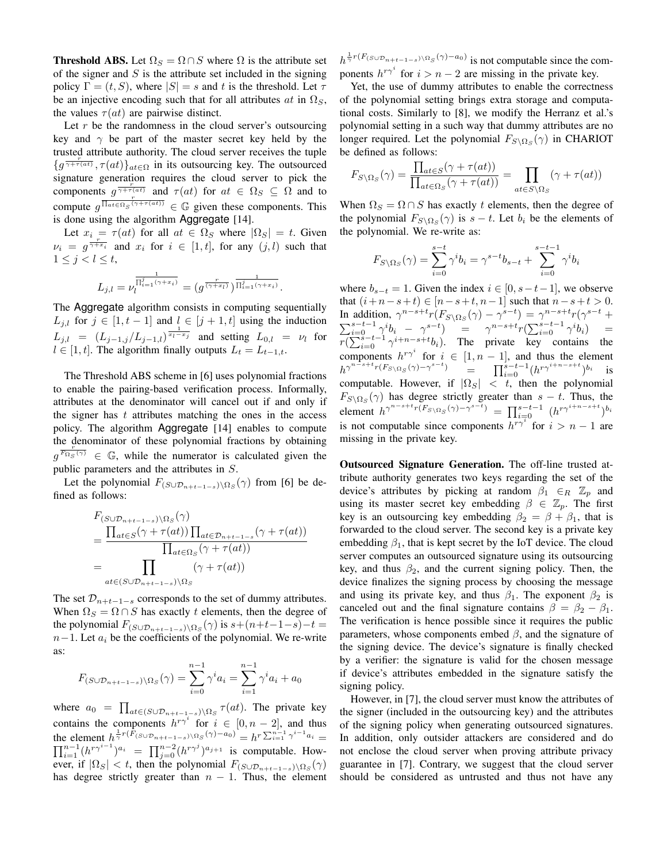**Threshold ABS.** Let  $\Omega_S = \Omega \cap S$  where  $\Omega$  is the attribute set of the signer and  $S$  is the attribute set included in the signing policy  $\Gamma = (t, S)$ , where  $|S| = s$  and t is the threshold. Let  $\tau$ be an injective encoding such that for all attributes  $at$  in  $\Omega<sub>S</sub>$ , the values  $\tau(at)$  are pairwise distinct.

Let  $r$  be the randomness in the cloud server's outsourcing key and  $\gamma$  be part of the master secret key held by the trusted attribute authority. The cloud server receives the tuple  $\{g^{\frac{r}{\gamma + \tau(at)}}, \tau(at)\}_{at \in \Omega}$  in its outsourcing key. The outsourced signature generation requires the cloud server to pick the components  $g^{\frac{r}{\gamma + \tau(a\tau)}}$  and  $\tau(at)$  for  $at \in \Omega_S \subseteq \Omega$  and to compute  $g^{\frac{r}{\prod_{at \in \Omega_S} (\gamma + \tau(at))}} \in \mathbb{G}$  given these components. This is done using the algorithm Aggregate [14].

Let  $x_i = \tau(at)$  for all  $at \in \Omega_S$  where  $|\Omega_S| = t$ . Given  $\nu_i = g^{\frac{r}{\gamma + x_i}}$  and  $x_i$  for  $i \in [1, t]$ , for any  $(j, l)$  such that  $1 \leq j < l \leq t$ ,

$$
L_{j,l} = \nu_l^{\frac{1}{\prod_{i=1}^j (\gamma + x_i)}} = (g^{\frac{r}{(\gamma + x_l)}})^{\frac{1}{\prod_{i=1}^j (\gamma + x_i)}}.
$$

The Aggregate algorithm consists in computing sequentially  $L_{j,l}$  for  $j \in [1, t-1]$  and  $l \in [j+1, t]$  using the induction  $L_{j,l} = (L_{j-1,j}/L_{j-1,l})^{\frac{1}{x_l-x_j}}$  and setting  $L_{0,l} = \nu_l$  for  $l \in [1, t]$ . The algorithm finally outputs  $L_t = L_{t-1,t}$ .

The Threshold ABS scheme in [6] uses polynomial fractions to enable the pairing-based verification process. Informally, attributes at the denominator will cancel out if and only if the signer has  $t$  attributes matching the ones in the access policy. The algorithm Aggregate [14] enables to compute the denominator of these polynomial fractions by obtaining  $g^{\overline{F_{\Omega_S}(\gamma)}} \in \mathbb{G}$ , while the numerator is calculated given the public parameters and the attributes in S.

Let the polynomial  $F_{(S \cup \mathcal{D}_{n+t-1-s}) \setminus \Omega_S}(\gamma)$  from [6] be defined as follows:

$$
F_{(S \cup \mathcal{D}_{n+t-1-s})\backslash\Omega_S}(\gamma)
$$
  
= 
$$
\frac{\prod_{at \in S} (\gamma + \tau(at)) \prod_{at \in \mathcal{D}_{n+t-1-s}} (\gamma + \tau(at))}{\prod_{at \in \Omega_S} (\gamma + \tau(at))}
$$
  
= 
$$
\prod_{at \in (S \cup \mathcal{D}_{n+t-1-s})\backslash\Omega_S} (\gamma + \tau(at))
$$

The set  $\mathcal{D}_{n+t-1-s}$  corresponds to the set of dummy attributes. When  $\Omega_S = \Omega \cap S$  has exactly t elements, then the degree of the polynomial  $F_{(S \cup \mathcal{D}_{n+t-1-s}) \setminus \Omega_S}(\gamma)$  is  $s+(n+t-1-s)-t=$  $n-1$ . Let  $a_i$  be the coefficients of the polynomial. We re-write as:

$$
F_{(S \cup \mathcal{D}_{n+t-1-s})\setminus\Omega_S}(\gamma) = \sum_{i=0}^{n-1} \gamma^i a_i = \sum_{i=1}^{n-1} \gamma^i a_i + a_0
$$

where  $a_0 = \prod_{at \in (S \cup \mathcal{D}_{n+t-1-s}) \setminus \Omega_S} \tau(at)$ . The private key contains the components  $h^{r\gamma^i}$  for  $i \in [0, n-2]$ , and thus the element  $h^{\frac{1}{\gamma}r(\tilde{F}_{(S\cup\mathcal{D}_{n+t-1-s})\setminus\Omega_S}(\gamma)-a_0)} = h^{r\sum_{i=1}^{n-1}\gamma^{i-1}}$  $\Pi$ a element  $h^{\frac{1}{\gamma}r(F_{(S\cup\mathcal{D}_{n+t-1-s})\setminus\Omega_S}(\gamma)-a_0)} = h^r \sum_{i=1}^{n-1} \gamma^{i-1} a_i = \frac{n-1}{(h^{r\gamma^{i-1}})^{a_i}} = \prod_{j=0}^{n-2} (h^{r\gamma^{j}})^{a_{j+1}}$  is computable. However, if  $|\Omega_S| < t$ , then the polynomial  $F_{(S \cup \mathcal{D}_{n+t-1-s}) \setminus \Omega_S}(\gamma)$ has degree strictly greater than  $n - 1$ . Thus, the element  $h^{\frac{1}{\gamma}r(F_{(S\cup\mathcal{D}_{n+t-1-s})\setminus\Omega_S}(\gamma)-a_0)}$  is not computable since the components  $h^{r\gamma^i}$  for  $i > n-2$  are missing in the private key.

Yet, the use of dummy attributes to enable the correctness of the polynomial setting brings extra storage and computational costs. Similarly to [8], we modify the Herranz et al.'s polynomial setting in a such way that dummy attributes are no longer required. Let the polynomial  $F_{S\setminus\Omega_S}(\gamma)$  in CHARIOT be defined as follows:

$$
F_{S\setminus\Omega_S}(\gamma) = \frac{\prod_{at \in S}(\gamma + \tau(at))}{\prod_{at \in \Omega_S}(\gamma + \tau(at))} = \prod_{at \in S\setminus\Omega_S}(\gamma + \tau(at))
$$

When  $\Omega_S = \Omega \cap S$  has exactly t elements, then the degree of the polynomial  $F_{S \setminus \Omega_S}(\gamma)$  is  $s - t$ . Let  $b_i$  be the elements of the polynomial. We re-write as:

$$
F_{S \setminus \Omega_S}(\gamma) = \sum_{i=0}^{s-t} \gamma^i b_i = \gamma^{s-t} b_{s-t} + \sum_{i=0}^{s-t-1} \gamma^i b_i
$$

where  $b_{s-t} = 1$ . Given the index  $i \in [0, s-t-1]$ , we observe that  $(i+n-s+t) \in [n-s+t, n-1]$  such that  $n-s+t > 0$ . In addition,  $\gamma^{n-s+t} r(F_{S \setminus \Omega_S}(\gamma) - \gamma^{s-t}) = \gamma^{n-s+t} r(\gamma^{s-t} +$  $\sum_{i=0}^{s-t-1} \gamma^i b_i - \gamma^{s-t}$  =  $\gamma^{n-s+t} r(\sum_{i=0}^{s-t-1} \gamma^i b_i)$  =  $\sqrt[n]{\sum_{i=0}^{8-t-1} \gamma^{i+n-s+t} b_i}$ . The private key contains the components  $h^{r\gamma^i}$  for  $i \in [1, n-1]$ , and thus the element  $h^{\gamma^{n-s+t}r(F_{S\setminus\Omega_S}(\gamma)-\gamma^{s-t})}$  =  $\prod_{i=0}^{s-t-1}(h^{r\gamma^{i+n-s+t}})^{b_i}$  is computable. However, if  $|\Omega_S| < t$ , then the polynomial  $F_{S \setminus \Omega_S}(\gamma)$  has degree strictly greater than  $s - t$ . Thus, the element  $h^{\gamma^{n-s+t}r(F_{S\setminus\Omega_S}(\gamma)-\gamma^{s-t})} = \prod_{i=0}^{s-t-1} (h^{r\gamma^{i+n-s+t}})^{b_i}$ is not computable since components  $h^{r\gamma^i}$  for  $i > n - 1$  are missing in the private key.

Outsourced Signature Generation. The off-line trusted attribute authority generates two keys regarding the set of the device's attributes by picking at random  $\beta_1 \in_R \mathbb{Z}_p$  and using its master secret key embedding  $\beta \in \mathbb{Z}_p$ . The first key is an outsourcing key embedding  $\beta_2 = \beta + \beta_1$ , that is forwarded to the cloud server. The second key is a private key embedding  $\beta_1$ , that is kept secret by the IoT device. The cloud server computes an outsourced signature using its outsourcing key, and thus  $\beta_2$ , and the current signing policy. Then, the device finalizes the signing process by choosing the message and using its private key, and thus  $\beta_1$ . The exponent  $\beta_2$  is canceled out and the final signature contains  $\beta = \beta_2 - \beta_1$ . The verification is hence possible since it requires the public parameters, whose components embed  $\beta$ , and the signature of the signing device. The device's signature is finally checked by a verifier: the signature is valid for the chosen message if device's attributes embedded in the signature satisfy the signing policy.

However, in [7], the cloud server must know the attributes of the signer (included in the outsourcing key) and the attributes of the signing policy when generating outsourced signatures. In addition, only outsider attackers are considered and do not enclose the cloud server when proving attribute privacy guarantee in [7]. Contrary, we suggest that the cloud server should be considered as untrusted and thus not have any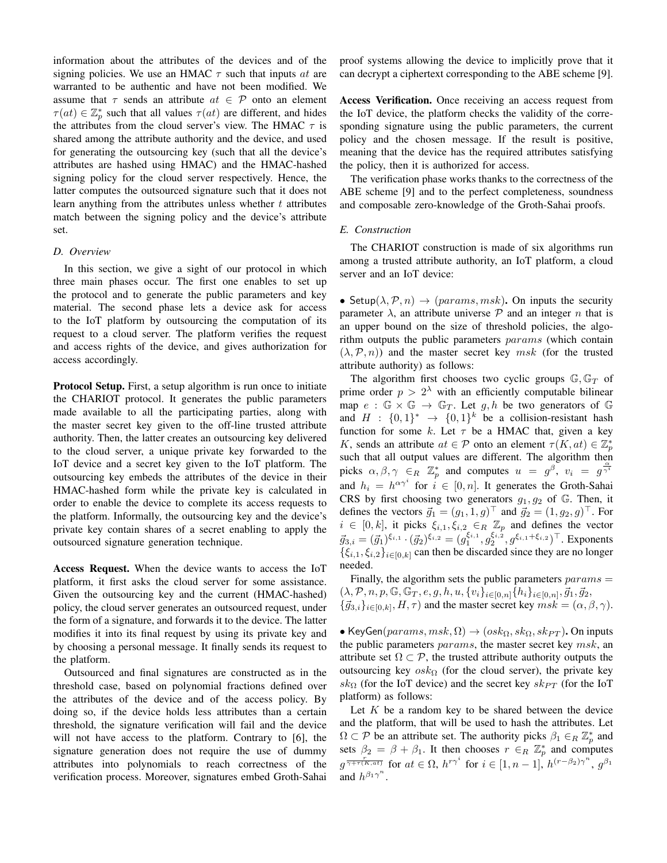information about the attributes of the devices and of the signing policies. We use an HMAC  $\tau$  such that inputs at are warranted to be authentic and have not been modified. We assume that  $\tau$  sends an attribute  $at \in \mathcal{P}$  onto an element  $\tau(at) \in \mathbb{Z}_p^*$  such that all values  $\tau(at)$  are different, and hides the attributes from the cloud server's view. The HMAC  $\tau$  is shared among the attribute authority and the device, and used for generating the outsourcing key (such that all the device's attributes are hashed using HMAC) and the HMAC-hashed signing policy for the cloud server respectively. Hence, the latter computes the outsourced signature such that it does not learn anything from the attributes unless whether  $t$  attributes match between the signing policy and the device's attribute set.

## *D. Overview*

In this section, we give a sight of our protocol in which three main phases occur. The first one enables to set up the protocol and to generate the public parameters and key material. The second phase lets a device ask for access to the IoT platform by outsourcing the computation of its request to a cloud server. The platform verifies the request and access rights of the device, and gives authorization for access accordingly.

Protocol Setup. First, a setup algorithm is run once to initiate the CHARIOT protocol. It generates the public parameters made available to all the participating parties, along with the master secret key given to the off-line trusted attribute authority. Then, the latter creates an outsourcing key delivered to the cloud server, a unique private key forwarded to the IoT device and a secret key given to the IoT platform. The outsourcing key embeds the attributes of the device in their HMAC-hashed form while the private key is calculated in order to enable the device to complete its access requests to the platform. Informally, the outsourcing key and the device's private key contain shares of a secret enabling to apply the outsourced signature generation technique.

Access Request. When the device wants to access the IoT platform, it first asks the cloud server for some assistance. Given the outsourcing key and the current (HMAC-hashed) policy, the cloud server generates an outsourced request, under the form of a signature, and forwards it to the device. The latter modifies it into its final request by using its private key and by choosing a personal message. It finally sends its request to the platform.

Outsourced and final signatures are constructed as in the threshold case, based on polynomial fractions defined over the attributes of the device and of the access policy. By doing so, if the device holds less attributes than a certain threshold, the signature verification will fail and the device will not have access to the platform. Contrary to [6], the signature generation does not require the use of dummy attributes into polynomials to reach correctness of the verification process. Moreover, signatures embed Groth-Sahai proof systems allowing the device to implicitly prove that it can decrypt a ciphertext corresponding to the ABE scheme [9].

Access Verification. Once receiving an access request from the IoT device, the platform checks the validity of the corresponding signature using the public parameters, the current policy and the chosen message. If the result is positive, meaning that the device has the required attributes satisfying the policy, then it is authorized for access.

The verification phase works thanks to the correctness of the ABE scheme [9] and to the perfect completeness, soundness and composable zero-knowledge of the Groth-Sahai proofs.

#### *E. Construction*

The CHARIOT construction is made of six algorithms run among a trusted attribute authority, an IoT platform, a cloud server and an IoT device:

• Setup( $\lambda$ ,  $\mathcal{P}$ ,  $n$ )  $\rightarrow$  (params, msk). On inputs the security parameter  $\lambda$ , an attribute universe  $\mathcal P$  and an integer n that is an upper bound on the size of threshold policies, the algorithm outputs the public parameters params (which contain  $(\lambda, \mathcal{P}, n)$  and the master secret key msk (for the trusted attribute authority) as follows:

The algorithm first chooses two cyclic groups  $\mathbb{G}, \mathbb{G}_T$  of prime order  $p > 2<sup>\lambda</sup>$  with an efficiently computable bilinear map  $e : \mathbb{G} \times \mathbb{G} \to \mathbb{G}_T$ . Let q, h be two generators of  $\mathbb{G}$ and  $H : \{0,1\}^* \rightarrow \{0,1\}^k$  be a collision-resistant hash function for some k. Let  $\tau$  be a HMAC that, given a key K, sends an attribute  $at \in \mathcal{P}$  onto an element  $\tau(K, at) \in \mathbb{Z}_p^*$ such that all output values are different. The algorithm then picks  $\alpha, \beta, \gamma \in_R \mathbb{Z}_p^*$  and computes  $u = g^{\beta}, v_i = g^{\frac{\alpha}{\gamma^i}}$ and  $h_i = h^{\alpha \gamma^i}$  for  $i \in [0, n]$ . It generates the Groth-Sahai CRS by first choosing two generators  $g_1, g_2$  of  $\mathbb{G}$ . Then, it defines the vectors  $\vec{g}_1 = (g_1, 1, g)^\top$  and  $\vec{g}_2 = (1, g_2, g)^\top$ . For  $i \in [0, k]$ , it picks  $\xi_{i,1}, \xi_{i,2} \in_R \mathbb{Z}_p$  and defines the vector  $\vec{g}_{3,i} = (\vec{g}_1)^{\xi_{i,1}} \cdot (\vec{g}_2)^{\xi_{i,2}} = (g_1^{\xi_{i,1}}, g_2^{\xi_{i,2}}, g^{\xi_{i,1} + \xi_{i,2}})^\top$ . Exponents  $\{\xi_{i,1}, \xi_{i,2}\}_{i\in[0,k]}$  can then be discarded since they are no longer needed.

Finally, the algorithm sets the public parameters  $params =$  $(\lambda, \mathcal{P}, n, p, \mathbb{G}, \overline{\mathbb{G}_T}, e, g, h, u, \{v_i\}_{i \in [0,n]}, \overline{\{h_i\}_{i \in [0,n]}, \vec{g}_1, \vec{g}_2,$  ${\{\vec{g}_{3,i}\}_{i\in[0,k]}, H, \tau}$  and the master secret key  $msk = (\alpha, \beta, \gamma)$ .

• KeyGen( $params, msk, \Omega$ )  $\rightarrow (osk_{\Omega}, sk_{\Omega}, sk_{PT})$ . On inputs the public parameters *params*, the master secret key *msk*, an attribute set  $\Omega \subset \mathcal{P}$ , the trusted attribute authority outputs the outsourcing key  $\cos k_{\Omega}$  (for the cloud server), the private key  $sk<sub>Ω</sub>$  (for the IoT device) and the secret key  $sk<sub>PT</sub>$  (for the IoT platform) as follows:

Let  $K$  be a random key to be shared between the device and the platform, that will be used to hash the attributes. Let  $\Omega \subset \mathcal{P}$  be an attribute set. The authority picks  $\beta_1 \in_R \mathbb{Z}_p^*$  and sets  $\beta_2 = \beta + \beta_1$ . It then chooses  $r \in_R \mathbb{Z}_p^*$  and computes  $g^{\frac{r}{\gamma+\tau(K,at)}}$  for  $at \in \Omega$ ,  $h^{r\gamma^i}$  for  $i \in [1, n-1]$ ,  $h^{(r-\beta_2)\gamma^n}$ ,  $g^{\beta_1}$ and  $h^{\beta_1 \gamma^n}$ .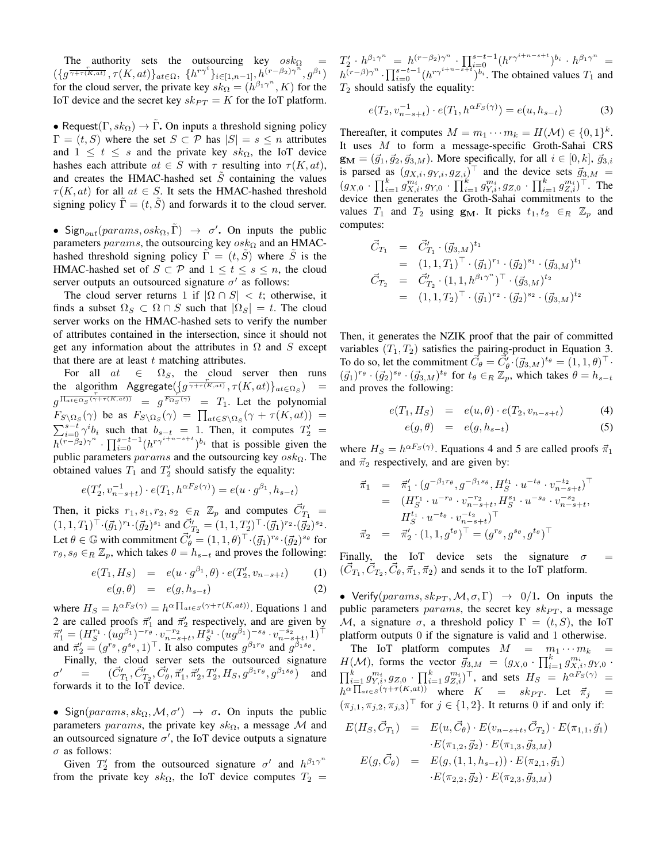The authority sets the outsourcing key  $\cos k_{\Omega}$  =  $({g \overline{\gamma + \tau(K,at)}}, \tau(K,at))_{at \in \Omega}, \{h^{r\gamma^i}\}_{i \in [1,n-1]}, h^{(r-\beta_2)\gamma^n}, g^{\beta_1})$ for the cloud server, the private key  $sk_{\Omega} = (h^{\beta_1 \gamma^n}, K)$  for the IoT device and the secret key  $sk_{PT} = K$  for the IoT platform.

• Request( $\Gamma$ ,  $sk_{\Omega}$ )  $\rightarrow \Gamma$ . On inputs a threshold signing policy  $\Gamma = (t, S)$  where the set  $S \subset \mathcal{P}$  has  $|S| = s \leq n$  attributes and  $1 \leq t \leq s$  and the private key  $sk_{\Omega}$ , the IoT device hashes each attribute  $at \in S$  with  $\tau$  resulting into  $\tau(K, at)$ , and creates the HMAC-hashed set  $\tilde{S}$  containing the values  $\tau(K, at)$  for all  $at \in S$ . It sets the HMAC-hashed threshold signing policy  $\Gamma = (t, S)$  and forwards it to the cloud server.

• Sign<sub>out</sub> (params, osk<sub>Ω</sub>,  $\tilde{\Gamma}$ )  $\rightarrow \sigma'$ . On inputs the public parameters params, the outsourcing key  $\cos k_{\Omega}$  and an HMAChashed threshold signing policy  $\Gamma = (t, S)$  where S is the HMAC-hashed set of  $S \subset \mathcal{P}$  and  $1 \leq t \leq s \leq n$ , the cloud server outputs an outsourced signature  $\sigma'$  as follows:

The cloud server returns 1 if  $|\Omega \cap S| < t$ ; otherwise, it finds a subset  $\Omega_S \subset \Omega \cap S$  such that  $|\Omega_S| = t$ . The cloud server works on the HMAC-hashed sets to verify the number of attributes contained in the intersection, since it should not get any information about the attributes in  $\Omega$  and S except that there are at least  $t$  matching attributes.

For all  $at \in \Omega_S$ , the cloud server then runs the algorithm  $\text{Aggregation}(\lbrace g^{\frac{r}{\gamma+r(K,at)}}, \tau(K,at)\rbrace_{at\in\Omega_S})$  =  $g^{\frac{C}{\prod_{at\in\Omega_S}(\gamma+\tau(K,at))}} = g^{\frac{C}{F_{\Omega_S}(\gamma)}} = T_1$ . Let the polynomial  $F_{S\setminus\Omega_S}(\gamma)$  be as  $F_{S\setminus\Omega_S}(\gamma) = \prod_{at \in S\setminus\Omega_S} (\gamma + \tau(K,at)) =$  $\sum_{i=0}^{s-t} \gamma^i b_i$  such that  $b_{s-t} = 1$ . Then, it computes  $T'_2 =$  $\overline{h^{(r-\beta_2)\gamma}}^n \cdot \prod_{i=0}^{s-t-1} (h^{r\gamma^{i+n-s+t}})^{b_i}$  that is possible given the public parameters  $params$  and the outsourcing key  $osh_{\Omega}$ . The obtained values  $T_1$  and  $T_2'$  should satisfy the equality:

$$
e(T_2', v_{n-s+t}^{-1}) \cdot e(T_1, h^{\alpha F_S(\gamma)}) = e(u \cdot g^{\beta_1}, h_{s-t})
$$

Then, it picks  $r_1, s_1, r_2, s_2 \in_R \mathbb{Z}_p$  and computes  $\vec{C}'_{T_1}$  =  $(1,1,T_1)^\top \cdot (\vec{g}_1)^{r_1} \cdot (\vec{g}_2)^{s_1}$  and  $\vec{C}'_{T_2} = (1,1,T'_2)^\top \cdot (\vec{g}_1)^{r_2} \cdot (\vec{g}_2)^{s_2}$ . Let  $\theta \in \mathbb{G}$  with commitment  $\vec{C}'_{\theta} = (1, 1, \theta)^{\top} \cdot (\vec{g}_1)^{r_{\theta}} \cdot (\vec{g}_2)^{s_{\theta}}$  for  $r_{\theta}, s_{\theta} \in_R \mathbb{Z}_p$ , which takes  $\theta = h_{s-t}$  and proves the following:

$$
e(T_1, H_S) = e(u \cdot g^{\beta_1}, \theta) \cdot e(T'_2, v_{n-s+t}) \qquad (1)
$$
  

$$
e(g, \theta) = e(g, h_{s-t}) \qquad (2)
$$

where 
$$
H_S = h^{\alpha F_S(\gamma)} = h^{\alpha \prod_{at \in S} (\gamma + \tau(K,at))}
$$
. Equations 1 and  
2 are called proofs  $\vec{\pi}'_1$  and  $\vec{\pi}'_2$  respectively, and are given by  
 $\vec{\pi}'_1 = (H_S^{\tau_1} \cdot (ug^{\beta_1})^{-r_{\theta}} \cdot v_{n-s+t}^{-r_{2}} H_S^{s_1} \cdot (ug^{\beta_1})^{-s_{\theta}} \cdot v_{n-s+t}^{-s_{2}}, 1)^{\top}$ 

and  $\vec{\pi}'_2 = (g^{r_\theta}, g^{s_\theta}, 1)^\top$ . It also computes  $g^{\beta_1 r_\theta}$  and  $g^{\beta_1 s_\theta}$ . Finally, the cloud server sets the outsourced signature  $\sigma' = (\vec{C}'_1$  $T_1, \vec{C}_{T_2}, \vec{C}_{\theta}', \vec{\pi}_1', \vec{\pi}_2', T_2', H_S, g^{\beta_1 r_{\theta}}, g^{\beta_1 s_{\theta}})$  and forwards it to the IoT device.

• Sign(params,  $sk_{\Omega}$ ,  $\mathcal{M}, \sigma'$ )  $\rightarrow \sigma$ . On inputs the public parameters params, the private key s $k_{\Omega}$ , a message M and an outsourced signature  $\sigma'$ , the IoT device outputs a signature  $\sigma$  as follows:

Given  $T_2'$  from the outsourced signature  $\sigma'$  and  $h^{\beta_1 \gamma^n}$ from the private key sk $_{\Omega}$ , the IoT device computes  $T_2$  =

 $T_2' \cdot h^{\beta_1 \gamma^n} = h^{(r-\beta_2)\gamma^n} \cdot \prod_{i=0}^{s-t-1} (h^{r\gamma^{i+n-s+t}})^{b_i} \cdot h^{\beta_1 \gamma^n} =$  $h^{(r-\beta)\gamma^n} \cdot \prod_{i=0}^{s-t-1} (h^{r\gamma^{i+n-s+t}})^{b_i}$ . The obtained values  $T_1$  and  $T_2$  should satisfy the equality:

$$
e(T_2, v_{n-s+t}^{-1}) \cdot e(T_1, h^{\alpha F_S(\gamma)}) = e(u, h_{s-t})
$$
 (3)

Thereafter, it computes  $M = m_1 \cdots m_k = H(\mathcal{M}) \in \{0, 1\}^k$ . It uses M to form a message-specific Groth-Sahai CRS  $\mathbf{g}_{\mathbf{M}} = (\vec{g}_1, \vec{g}_2, \vec{g}_{3,M})$ . More specifically, for all  $i \in [0, k]$ ,  $\vec{g}_{3,i}$ is parsed as  $(g_{X,i}, g_{Y,i}, g_{Z,i})^{\top}$  and the device sets  $\vec{g}_{3,M}$  =  $(g_{X,0} \cdot \prod_{i=1}^k g_{X,i}^{m_i}, g_{Y,0} \cdot \prod_{i=1}^k g_{Y,i}^{m_i}, g_{Z,0} \cdot \prod_{i=1}^k g_{Z,i}^{m_i})^{\top}$ . The device then generates the Groth-Sahai commitments to the values  $T_1$  and  $T_2$  using  $g_M$ . It picks  $t_1, t_2 \in_R \mathbb{Z}_p$  and computes:

$$
\begin{aligned}\n\vec{C}_{T_1} &= \vec{C}_{T_1} ' (\vec{g}_{3,M})^{t_1} \\
&= (1, 1, T_1)^\top \cdot (\vec{g}_1)^{r_1} \cdot (\vec{g}_2)^{s_1} \cdot (\vec{g}_{3,M})^{t_1} \\
\vec{C}_{T_2} &= \vec{C}_{T_2} ' (1, 1, h^{\beta_1 \gamma^n})^\top \cdot (\vec{g}_{3,M})^{t_2} \\
&= (1, 1, T_2)^\top \cdot (\vec{g}_1)^{r_2} \cdot (\vec{g}_2)^{s_2} \cdot (\vec{g}_{3,M})^{t_2}\n\end{aligned}
$$

Then, it generates the NZIK proof that the pair of committed variables  $(T_1, T_2)$  satisfies the pairing-product in Equation 3. To do so, let the commitment  $\vec{C}_{\theta} = \vec{C}_{\theta}^{\prime} \cdot (\vec{g}_{3,M})^{t_{\theta}} = (1, 1, \theta)^{\top} \cdot$  $(\vec{g}_1)^{r_\theta} \cdot (\vec{g}_2)^{s_\theta} \cdot (\vec{g}_{3,M})^{t_\theta}$  for  $t_\theta \in_R \mathbb{Z}_p$ , which takes  $\theta = h_{s-t}$ and proves the following:

$$
e(T_1, H_S) = e(u, \theta) \cdot e(T_2, v_{n-s+t}) \tag{4}
$$

$$
e(g,\theta) = e(g,h_{s-t}) \tag{5}
$$

where  $H_S = h^{\alpha F_S(\gamma)}$ . Equations 4 and 5 are called proofs  $\vec{\pi}_1$ and  $\vec{\pi}_2$  respectively, and are given by:

$$
\begin{array}{rcl}\n\vec{\pi}_1 & = & \vec{\pi}_1' \cdot (g^{-\beta_1 r_\theta}, g^{-\beta_1 s_\theta}, H_S^{t_1} \cdot u^{-t_\theta} \cdot v_{n-s+t}^{-t_2})^\top \\
& = & (H_S^{r_1} \cdot u^{-r_\theta} \cdot v_{n-s+t}^{-r_2}, H_S^{s_1} \cdot u^{-s_\theta} \cdot v_{n-s+t}^{-s_2}, \\
& H_S^{t_1} \cdot u^{-t_\theta} \cdot v_{n-s+t}^{-t_2})^\top \\
\vec{\pi}_2 & = & \vec{\pi}_2' \cdot (1, 1, g^{t_\theta})^\top = (g^{r_\theta}, g^{s_\theta}, g^{t_\theta})^\top\n\end{array}
$$

Finally, the IoT device sets the signature  $\sigma$  =  $(\vec{C}_{T_1}, \vec{C}_{T_2}, \vec{C}_{\theta}, \vec{\pi}_1, \vec{\pi}_2)$  and sends it to the IoT platform.

• Verify(params,  $sk_{PT}$ ,  $M$ ,  $\sigma$ ,  $\Gamma$ )  $\rightarrow$  0/1. On inputs the public parameters params, the secret key  $sk_{PT}$ , a message M, a signature  $\sigma$ , a threshold policy  $\Gamma = (t, S)$ , the IoT platform outputs 0 if the signature is valid and 1 otherwise.

The IoT platform computes  $M = m_1 \cdots m_k$  =  $H(M)$ , forms the vector  $\vec{g}_{3,M} = (g_{X,0} \cdot \prod_{i=1}^k g_{X,i}^{m_i}, g_{Y,0} \cdot$  $\prod_{i=1}^k g^{m_i}_{Y,i}, g_{Z,0} \cdot \prod_{i=1}^k g^{m_i}_{Z,i})^{\top}$ , and sets  $H_S = h^{\alpha \dot{F}_S(\gamma)} =$  $h^{\alpha} \prod_{a t \in S} (\gamma + \tau(K, a t))$  where  $K = sk_{PT}$ . Let  $\vec{\pi}_j =$  $(\pi_{j,1}, \pi_{j,2}, \pi_{j,3})^{\top}$  for  $j \in \{1,2\}$ . It returns 0 if and only if:

$$
E(H_S, \vec{C}_{T_1}) = E(u, \vec{C}_{\theta}) \cdot E(v_{n-s+t}, \vec{C}_{T_2}) \cdot E(\pi_{1,1}, \vec{g}_1)
$$
  
\n
$$
E(\pi_{1,2}, \vec{g}_2) \cdot E(\pi_{1,3}, \vec{g}_3, M)
$$
  
\n
$$
E(g, \vec{C}_{\theta}) = E(g, (1, 1, h_{s-t})) \cdot E(\pi_{2,1}, \vec{g}_1)
$$
  
\n
$$
\cdot E(\pi_{2,2}, \vec{g}_2) \cdot E(\pi_{2,3}, \vec{g}_3, M)
$$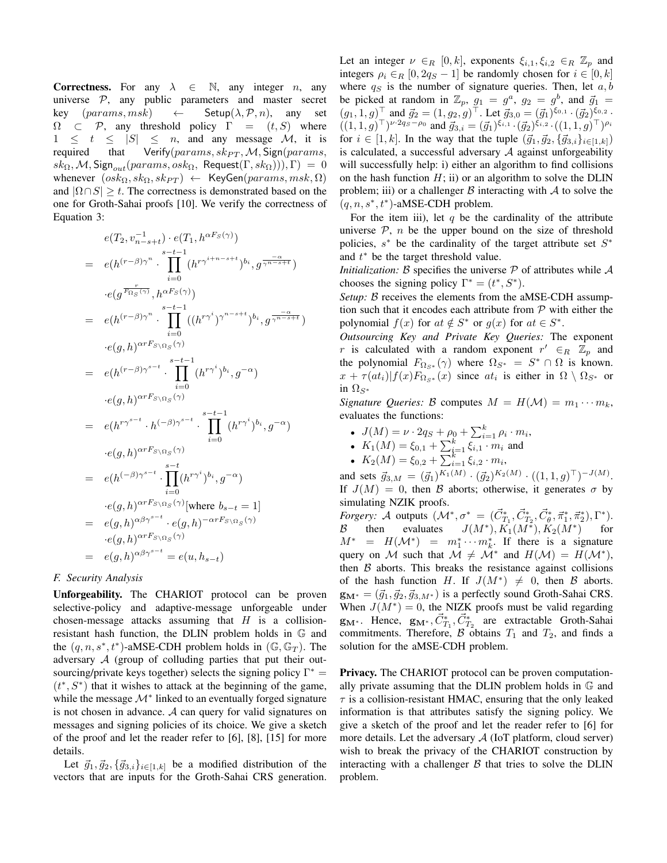**Correctness.** For any  $\lambda \in \mathbb{N}$ , any integer *n*, any universe  $P$ , any public parameters and master secret key  $(params, msk) \leftarrow$  Setup $(\lambda, \mathcal{P}, n)$ , any set  $\Omega \subset \mathcal{P}$ , any threshold policy  $\Gamma = (t, S)$  where  $1 \leq t \leq |S| \leq n$ , and any message M, it is required that Verify( $params, sk_{PT}, M$ , Sign( $params$ ,  $sk_{\Omega}, \mathcal{M},$  Sign $_{out}(params, osk_{\Omega},$  Request $(\Gamma, sk_{\Omega})))$ ,  $\Gamma) = 0$ whenever  $(osk_{\Omega}, sk_{\Omega}, sk_{PT}) \leftarrow \text{KeyGen}(params, msk, \Omega)$ and  $|\Omega \cap S| \geq t$ . The correctness is demonstrated based on the one for Groth-Sahai proofs [10]. We verify the correctness of Equation 3:

$$
e(T_2, v_{n-s+t}^{-1}) \cdot e(T_1, h^{\alpha F_S(\gamma)})
$$
\n
$$
= e(h^{(r-\beta)\gamma^n} \cdot \prod_{i=0}^{s-t-1} (h^{r\gamma^{i+n-s+t}})^{b_i}, g^{\frac{-\alpha}{\gamma^{n-s+t}}})
$$
\n
$$
\cdot e(g^{\frac{r}{F_{\Omega_S}(\gamma)}}, h^{\alpha F_S(\gamma)})
$$
\n
$$
= e(h^{(r-\beta)\gamma^n} \cdot \prod_{i=0}^{s-t-1} ((h^{r\gamma^i})^{\gamma^{n-s+t}})^{b_i}, g^{\frac{-\alpha}{\gamma^{n-s+t}}})
$$
\n
$$
\cdot e(g, h)^{\alpha r F_{S\setminus\Omega_S}(\gamma)}
$$
\n
$$
= e(h^{(r-\beta)\gamma^{s-t}} \cdot \prod_{i=0}^{s-t-1} (h^{r\gamma^i})^{b_i}, g^{-\alpha})
$$
\n
$$
\cdot e(g, h)^{\alpha r F_{S\setminus\Omega_S}(\gamma)}
$$
\n
$$
= e(h^{r\gamma^{s-t}} \cdot h^{(-\beta)\gamma^{s-t}} \cdot \prod_{i=0}^{s-t-1} (h^{r\gamma^i})^{b_i}, g^{-\alpha})
$$
\n
$$
\cdot e(g, h)^{\alpha r F_{S\setminus\Omega_S}(\gamma)}
$$
\n
$$
= e(h^{(-\beta)\gamma^{s-t}} \cdot \prod_{i=0}^{s-t} (h^{r\gamma^i})^{b_i}, g^{-\alpha})
$$
\n
$$
\cdot e(g, h)^{\alpha r F_{S\setminus\Omega_S}(\gamma)} (\text{where } b_{s-t} = 1]
$$
\n
$$
= e(g, h)^{\alpha \beta \gamma^{s-t}} \cdot e(g, h)^{-\alpha r F_{S\setminus\Omega_S}(\gamma)}
$$
\n
$$
= e(g, h)^{\alpha \beta \gamma^{s-t}} = e(u, h_{s-t})
$$

#### *F. Security Analysis*

Unforgeability. The CHARIOT protocol can be proven selective-policy and adaptive-message unforgeable under chosen-message attacks assuming that  $H$  is a collisionresistant hash function, the DLIN problem holds in G and the  $(q, n, s^*, t^*)$ -aMSE-CDH problem holds in  $(\mathbb{G}, \mathbb{G}_T)$ . The adversary A (group of colluding parties that put their outsourcing/private keys together) selects the signing policy  $\Gamma^* =$  $(t^*, S^*)$  that it wishes to attack at the beginning of the game, while the message  $\mathcal{M}^*$  linked to an eventually forged signature is not chosen in advance.  $A$  can query for valid signatures on messages and signing policies of its choice. We give a sketch of the proof and let the reader refer to [6], [8], [15] for more details.

Let  $\vec{g}_1, \vec{g}_2, \{\vec{g}_{3,i}\}_{i \in [1,k]}$  be a modified distribution of the vectors that are inputs for the Groth-Sahai CRS generation. Let an integer  $\nu \in_R [0, k]$ , exponents  $\xi_{i,1}, \xi_{i,2} \in_R \mathbb{Z}_p$  and integers  $\rho_i \in_R [0, 2q_S - 1]$  be randomly chosen for  $i \in [0, k]$ where  $q_S$  is the number of signature queries. Then, let  $a, b$ be picked at random in  $\mathbb{Z}_p$ ,  $g_1 = g^a$ ,  $g_2 = g^b$ , and  $\vec{g}_1 =$  $(g_1, 1, g)$ <sup>T</sup> and  $\vec{g}_2 = (1, g_2, g)$ <sup>T</sup>. Let  $\vec{g}_{3,0} = (\vec{g}_1)^{\xi_{0,1}} \cdot (\vec{g}_2)^{\xi_{0,2}}$ .  $((1,1,g)^{\top})^{\nu \cdot 2q_{S}-\rho_{0}}$  and  $\vec{g}_{3,i} = (\vec{g}_{1})^{\xi_{i,1}} \cdot (\vec{g}_{2})^{\xi_{i,2}} \cdot ((1,1,g)^{\top})^{\rho_{i}}$ for  $i \in [1, k]$ . In the way that the tuple  $({\vec{g}}_1, {\vec{g}}_2, {\{\vec{g}}_{3,i}\}_i \in [1, k])$ is calculated, a successful adversary  $\mathcal A$  against unforgeability will successfully help: i) either an algorithm to find collisions on the hash function  $H$ ; ii) or an algorithm to solve the DLIN problem; iii) or a challenger  $\beta$  interacting with  $\mathcal A$  to solve the  $(q, n, s^*, t^*)$ -aMSE-CDH problem.

For the item iii), let  $q$  be the cardinality of the attribute universe  $P$ , *n* be the upper bound on the size of threshold policies,  $s^*$  be the cardinality of the target attribute set  $S^*$ and  $t^*$  be the target threshold value.

*Initialization:*  $\beta$  specifies the universe  $\mathcal P$  of attributes while  $\mathcal A$ chooses the signing policy  $\Gamma^* = (t^*, S^*).$ 

*Setup: B* receives the elements from the aMSE-CDH assumption such that it encodes each attribute from  $P$  with either the polynomial  $f(x)$  for  $at \notin S^*$  or  $g(x)$  for  $at \in S^*$ .

*Outsourcing Key and Private Key Queries:* The exponent r is calculated with a random exponent  $r' \in_R \mathbb{Z}_p$  and the polynomial  $F_{\Omega_{S^*}}(\gamma)$  where  $\Omega_{S^*} = S^* \cap \Omega$  is known.  $x + \tau(at_i)|f(x)F_{\Omega_{S^*}}(x)$  since  $at_i$  is either in  $\Omega \setminus \Omega_{S^*}$  or in  $\Omega_{S^*}$ 

*Signature Queries:* B computes  $M = H(\mathcal{M}) = m_1 \cdots m_k$ , evaluates the functions:

- $J(M) = \nu \cdot 2q_S + \rho_0 + \sum_{i=1}^k \rho_i \cdot m_i,$
- $K_1(M) = \xi_{0,1} + \sum_{i=1}^k \xi_{i,1} \cdot m_i$  and
- $K_2(M) = \xi_{0,2} + \overline{\sum_{i=1}^k \xi_{i,2}} \cdot m_i,$

and sets  $\vec{g}_{3,M} = (\vec{g}_1)^{K_1(M)} \cdot (\vec{g}_2)^{K_2(M)} \cdot ((1,1,g)^{\top})^{-J(M)}$ . If  $J(M) = 0$ , then B aborts; otherwise, it generates  $\sigma$  by simulating NZIK proofs.

*Forgery:* A outputs  $({\cal M}^*, \sigma^* = (\vec{C}_{T_1}^*, \vec{C}_{T_2}^*, \vec{C}_{\theta}^*, \vec{\pi}_1^*, \vec{\pi}_2^*), \Gamma^*).$  $(C_{T_1}, C_{T_2}, C_{\theta}, \pi_1, \pi_2),$  i ).<br>  $(K_1(M^*), K_2(M^*)$  for  $\beta$  then evaluates  $M^*$  =  $H(\mathcal{M}^*)$  =  $m_1^* \cdots m_k^*$ . If there is a signature query on M such that  $M \neq M^*$  and  $H(M) = H(M^*),$ then  $\beta$  aborts. This breaks the resistance against collisions of the hash function H. If  $J(M^*) \neq 0$ , then B aborts.  $\mathbf{g}_{\mathbf{M}^*} = (\vec{g}_1, \vec{g}_2, \vec{g}_{3,M^*})$  is a perfectly sound Groth-Sahai CRS. When  $J(M^*) = 0$ , the NIZK proofs must be valid regarding  $\mathbf{g}_{\mathbf{M}^*}$ . Hence,  $\mathbf{g}_{\mathbf{M}^*}, \vec{C}_{T_1}^*, \vec{C}_{T_2}^*$  are extractable Groth-Sahai commitments. Therefore,  $\beta$  obtains  $T_1$  and  $T_2$ , and finds a solution for the aMSE-CDH problem.

Privacy. The CHARIOT protocol can be proven computationally private assuming that the DLIN problem holds in G and  $\tau$  is a collision-resistant HMAC, ensuring that the only leaked information is that attributes satisfy the signing policy. We give a sketch of the proof and let the reader refer to [6] for more details. Let the adversary  $A$  (IoT platform, cloud server) wish to break the privacy of the CHARIOT construction by interacting with a challenger  $\beta$  that tries to solve the DLIN problem.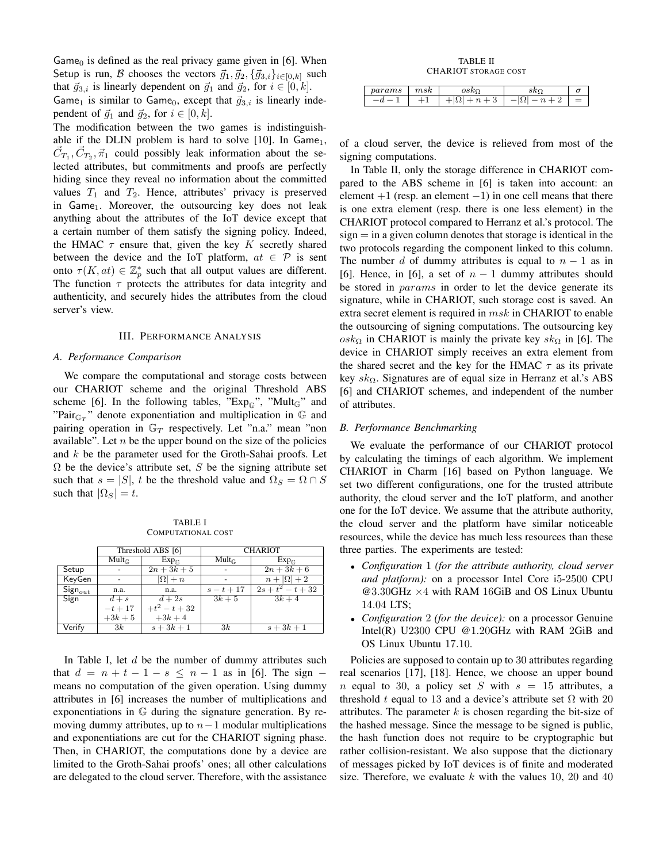Game<sub>0</sub> is defined as the real privacy game given in [6]. When Setup is run, B chooses the vectors  $\vec{g}_1, \vec{g}_2, \{\vec{g}_{3,i}\}_{i \in [0,k]}$  such that  $\vec{g}_{3,i}$  is linearly dependent on  $\vec{g}_1$  and  $\vec{g}_2$ , for  $i \in [0, k]$ .

Game<sub>1</sub> is similar to Game<sub>0</sub>, except that  $\vec{g}_{3,i}$  is linearly independent of  $\vec{g}_1$  and  $\vec{g}_2$ , for  $i \in [0, k]$ .

The modification between the two games is indistinguishable if the DLIN problem is hard to solve  $[10]$ . In Game<sub>1</sub>,  $\vec{C}_{T_1}, \vec{C}_{T_2}, \vec{\pi}_1$  could possibly leak information about the selected attributes, but commitments and proofs are perfectly hiding since they reveal no information about the committed values  $T_1$  and  $T_2$ . Hence, attributes' privacy is preserved in Game<sub>1</sub>. Moreover, the outsourcing key does not leak anything about the attributes of the IoT device except that a certain number of them satisfy the signing policy. Indeed, the HMAC  $\tau$  ensure that, given the key K secretly shared between the device and the IoT platform,  $at \in \mathcal{P}$  is sent onto  $\tau(K,at) \in \mathbb{Z}_p^*$  such that all output values are different. The function  $\tau$  protects the attributes for data integrity and authenticity, and securely hides the attributes from the cloud server's view.

## III. PERFORMANCE ANALYSIS

#### *A. Performance Comparison*

We compare the computational and storage costs between our CHARIOT scheme and the original Threshold ABS scheme [6]. In the following tables, " $Exp_{\mathbb{G}}$ ", "Mult $_{\mathbb{G}}$ " and "Pair<sub> $G_T$ </sub>" denote exponentiation and multiplication in  $G$  and pairing operation in  $\mathbb{G}_T$  respectively. Let "n.a." mean "non available". Let  $n$  be the upper bound on the size of the policies and  $k$  be the parameter used for the Groth-Sahai proofs. Let  $\Omega$  be the device's attribute set, S be the signing attribute set such that  $s = |S|$ , t be the threshold value and  $\Omega_S = \Omega \cap S$ such that  $|\Omega_S| = t$ .

TABLE I COMPUTATIONAL COST

|              | Threshold ABS [6]   |                    | <b>CHARIOT</b>      |                     |  |
|--------------|---------------------|--------------------|---------------------|---------------------|--|
|              | $Mult_{\mathbb{C}}$ | $Exp_{\mathbb{C}}$ | $Mult_{\mathbb{C}}$ | $Exp_{\mathbb{C}}$  |  |
| Setup        |                     | $2n+3k+5$          |                     | $2n+3k+6$           |  |
| KeyGen       |                     | $ \Omega +n$       |                     | $n+ \Omega +2$      |  |
| $Sign_{out}$ | n.a.                | n.a.               | $s - t + 17$        | $2s + t^2 - t + 32$ |  |
| Sign         | $d+s$               | $d+2s$             | $3k+5$              | $3k+4$              |  |
|              | $-t+17$             | $+t^2-t+32$        |                     |                     |  |
|              | $+3k+5$             | $+3k+4$            |                     |                     |  |
| Verify       | 3k                  | $s+3k+1$           | 3k                  | $s + 3k + 1$        |  |

In Table I, let  $d$  be the number of dummy attributes such that  $d = n + t - 1 - s \le n - 1$  as in [6]. The sign – means no computation of the given operation. Using dummy attributes in [6] increases the number of multiplications and exponentiations in G during the signature generation. By removing dummy attributes, up to  $n-1$  modular multiplications and exponentiations are cut for the CHARIOT signing phase. Then, in CHARIOT, the computations done by a device are limited to the Groth-Sahai proofs' ones; all other calculations are delegated to the cloud server. Therefore, with the assistance

TABLE II CHARIOT STORAGE COST

| params | $\it msk$ | vo            |     |  |
|--------|-----------|---------------|-----|--|
| u      |           | $\Omega$<br>ບ | ے د |  |

of a cloud server, the device is relieved from most of the signing computations.

In Table II, only the storage difference in CHARIOT compared to the ABS scheme in [6] is taken into account: an element  $+1$  (resp. an element  $-1$ ) in one cell means that there is one extra element (resp. there is one less element) in the CHARIOT protocol compared to Herranz et al.'s protocol. The  $sign = in a given column denotes that storage is identical in the$ two protocols regarding the component linked to this column. The number d of dummy attributes is equal to  $n - 1$  as in [6]. Hence, in [6], a set of  $n - 1$  dummy attributes should be stored in *params* in order to let the device generate its signature, while in CHARIOT, such storage cost is saved. An extra secret element is required in  $msk$  in CHARIOT to enable the outsourcing of signing computations. The outsourcing key  $\cos k_{\Omega}$  in CHARIOT is mainly the private key  $sk_{\Omega}$  in [6]. The device in CHARIOT simply receives an extra element from the shared secret and the key for the HMAC  $\tau$  as its private key  $sk_{\Omega}$ . Signatures are of equal size in Herranz et al.'s ABS [6] and CHARIOT schemes, and independent of the number of attributes.

#### *B. Performance Benchmarking*

We evaluate the performance of our CHARIOT protocol by calculating the timings of each algorithm. We implement CHARIOT in Charm [16] based on Python language. We set two different configurations, one for the trusted attribute authority, the cloud server and the IoT platform, and another one for the IoT device. We assume that the attribute authority, the cloud server and the platform have similar noticeable resources, while the device has much less resources than these three parties. The experiments are tested:

- *Configuration* 1 *(for the attribute authority, cloud server and platform):* on a processor Intel Core i5-2500 CPU @3.30GHz ×4 with RAM 16GiB and OS Linux Ubuntu 14.04 LTS;
- *Configuration* 2 *(for the device):* on a processor Genuine Intel(R) U2300 CPU @1.20GHz with RAM 2GiB and OS Linux Ubuntu 17.10.

Policies are supposed to contain up to 30 attributes regarding real scenarios [17], [18]. Hence, we choose an upper bound n equal to 30, a policy set S with  $s = 15$  attributes, a threshold t equal to 13 and a device's attribute set  $\Omega$  with 20 attributes. The parameter  $k$  is chosen regarding the bit-size of the hashed message. Since the message to be signed is public, the hash function does not require to be cryptographic but rather collision-resistant. We also suppose that the dictionary of messages picked by IoT devices is of finite and moderated size. Therefore, we evaluate k with the values 10, 20 and 40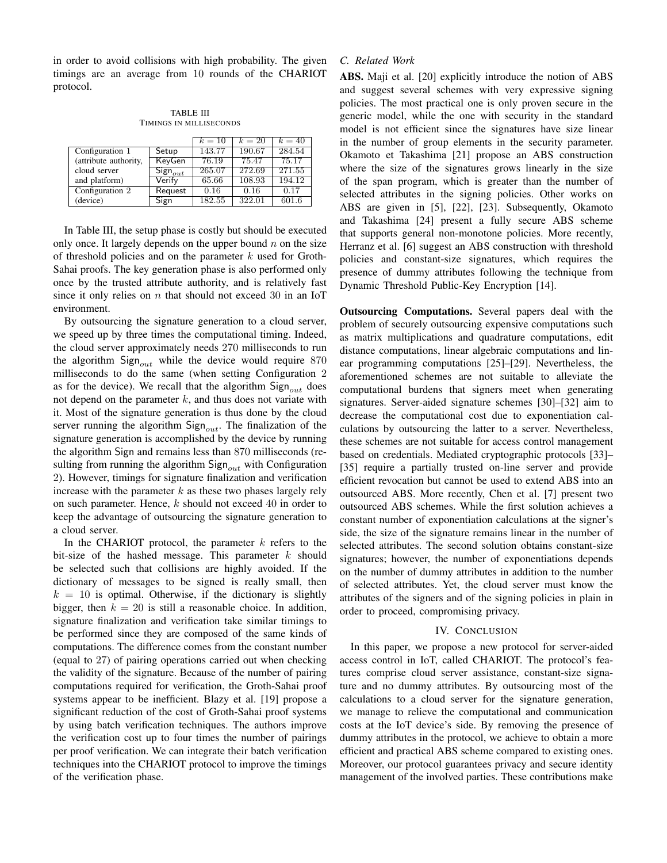in order to avoid collisions with high probability. The given timings are an average from 10 rounds of the CHARIOT protocol.

TABLE III TIMINGS IN MILLISECONDS

|                       |              | $k=10$ | $k=20$ | $k=40$ |
|-----------------------|--------------|--------|--------|--------|
| Configuration 1       | Setup        | 143.77 | 190.67 | 284.54 |
| (attribute authority, | KeyGen       | 76.19  | 75.47  | 75.17  |
| cloud server          | $Sign_{out}$ | 265.07 | 272.69 | 271.55 |
| and platform)         | Verify       | 65.66  | 108.93 | 194.12 |
| Configuration 2       | Request      | 0.16   | 0.16   | 0.17   |
| (device)              | Sign         | 182.55 | 322.01 | 601.6  |

In Table III, the setup phase is costly but should be executed only once. It largely depends on the upper bound  $n$  on the size of threshold policies and on the parameter  $k$  used for Groth-Sahai proofs. The key generation phase is also performed only once by the trusted attribute authority, and is relatively fast since it only relies on  $n$  that should not exceed 30 in an IoT environment.

By outsourcing the signature generation to a cloud server, we speed up by three times the computational timing. Indeed, the cloud server approximately needs 270 milliseconds to run the algorithm  $\text{Sign}_{out}$  while the device would require 870 milliseconds to do the same (when setting Configuration 2 as for the device). We recall that the algorithm  $\text{Sign}_{out}$  does not depend on the parameter  $k$ , and thus does not variate with it. Most of the signature generation is thus done by the cloud server running the algorithm  $Sign_{out}$ . The finalization of the signature generation is accomplished by the device by running the algorithm Sign and remains less than 870 milliseconds (resulting from running the algorithm  $Sign_{out}$  with Configuration 2). However, timings for signature finalization and verification increase with the parameter  $k$  as these two phases largely rely on such parameter. Hence,  $k$  should not exceed 40 in order to keep the advantage of outsourcing the signature generation to a cloud server.

In the CHARIOT protocol, the parameter  $k$  refers to the bit-size of the hashed message. This parameter  $k$  should be selected such that collisions are highly avoided. If the dictionary of messages to be signed is really small, then  $k = 10$  is optimal. Otherwise, if the dictionary is slightly bigger, then  $k = 20$  is still a reasonable choice. In addition, signature finalization and verification take similar timings to be performed since they are composed of the same kinds of computations. The difference comes from the constant number (equal to 27) of pairing operations carried out when checking the validity of the signature. Because of the number of pairing computations required for verification, the Groth-Sahai proof systems appear to be inefficient. Blazy et al. [19] propose a significant reduction of the cost of Groth-Sahai proof systems by using batch verification techniques. The authors improve the verification cost up to four times the number of pairings per proof verification. We can integrate their batch verification techniques into the CHARIOT protocol to improve the timings of the verification phase.

## *C. Related Work*

ABS. Maji et al. [20] explicitly introduce the notion of ABS and suggest several schemes with very expressive signing policies. The most practical one is only proven secure in the generic model, while the one with security in the standard model is not efficient since the signatures have size linear in the number of group elements in the security parameter. Okamoto et Takashima [21] propose an ABS construction where the size of the signatures grows linearly in the size of the span program, which is greater than the number of selected attributes in the signing policies. Other works on ABS are given in [5], [22], [23]. Subsequently, Okamoto and Takashima [24] present a fully secure ABS scheme that supports general non-monotone policies. More recently, Herranz et al. [6] suggest an ABS construction with threshold policies and constant-size signatures, which requires the presence of dummy attributes following the technique from Dynamic Threshold Public-Key Encryption [14].

Outsourcing Computations. Several papers deal with the problem of securely outsourcing expensive computations such as matrix multiplications and quadrature computations, edit distance computations, linear algebraic computations and linear programming computations [25]–[29]. Nevertheless, the aforementioned schemes are not suitable to alleviate the computational burdens that signers meet when generating signatures. Server-aided signature schemes [30]–[32] aim to decrease the computational cost due to exponentiation calculations by outsourcing the latter to a server. Nevertheless, these schemes are not suitable for access control management based on credentials. Mediated cryptographic protocols [33]– [35] require a partially trusted on-line server and provide efficient revocation but cannot be used to extend ABS into an outsourced ABS. More recently, Chen et al. [7] present two outsourced ABS schemes. While the first solution achieves a constant number of exponentiation calculations at the signer's side, the size of the signature remains linear in the number of selected attributes. The second solution obtains constant-size signatures; however, the number of exponentiations depends on the number of dummy attributes in addition to the number of selected attributes. Yet, the cloud server must know the attributes of the signers and of the signing policies in plain in order to proceed, compromising privacy.

## IV. CONCLUSION

In this paper, we propose a new protocol for server-aided access control in IoT, called CHARIOT. The protocol's features comprise cloud server assistance, constant-size signature and no dummy attributes. By outsourcing most of the calculations to a cloud server for the signature generation, we manage to relieve the computational and communication costs at the IoT device's side. By removing the presence of dummy attributes in the protocol, we achieve to obtain a more efficient and practical ABS scheme compared to existing ones. Moreover, our protocol guarantees privacy and secure identity management of the involved parties. These contributions make